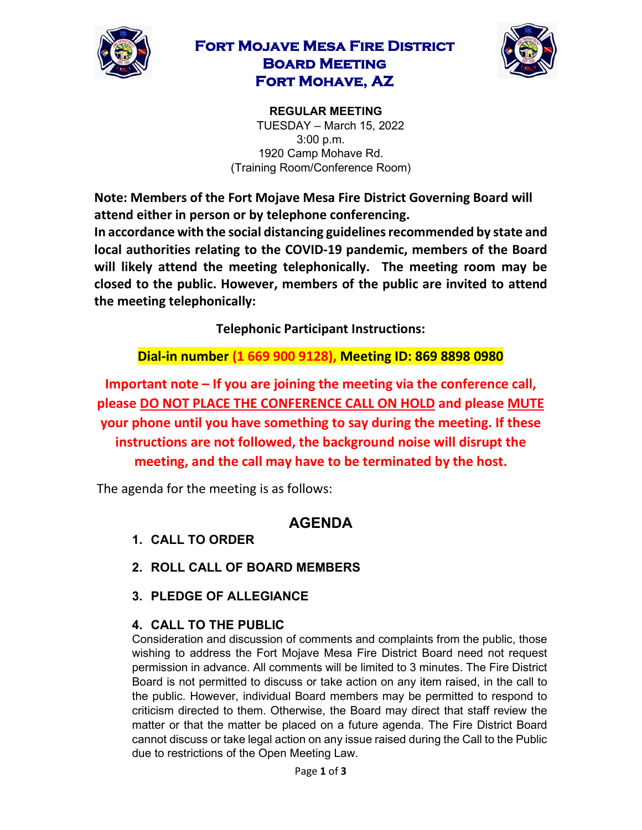

## **Fort Mojave Mesa Fire District Board Meeting Fort Mohave, AZ**



**REGULAR MEETING**  TUESDAY – March 15, 2022 3:00 p.m. 1920 Camp Mohave Rd. (Training Room/Conference Room)

**Note: Members of the Fort Mojave Mesa Fire District Governing Board will attend either in person or by telephone conferencing. In accordance with the social distancing guidelines recommended by state and local authorities relating to the COVID-19 pandemic, members of the Board will likely attend the meeting telephonically. The meeting room may be closed to the public. However, members of the public are invited to attend the meeting telephonically:** 

**Telephonic Participant Instructions:**

**Dial-in number (1 669 900 9128), Meeting ID: 869 8898 0980** 

**Important note – If you are joining the meeting via the conference call, please DO NOT PLACE THE CONFERENCE CALL ON HOLD and please MUTE your phone until you have something to say during the meeting. If these instructions are not followed, the background noise will disrupt the meeting, and the call may have to be terminated by the host.**

The agenda for the meeting is as follows:

## **AGENDA**

- **1. CALL TO ORDER**
- **2. ROLL CALL OF BOARD MEMBERS**
- **3. PLEDGE OF ALLEGIANCE**

## **4. CALL TO THE PUBLIC**

Consideration and discussion of comments and complaints from the public, those wishing to address the Fort Mojave Mesa Fire District Board need not request permission in advance. All comments will be limited to 3 minutes. The Fire District Board is not permitted to discuss or take action on any item raised, in the call to the public. However, individual Board members may be permitted to respond to criticism directed to them. Otherwise, the Board may direct that staff review the matter or that the matter be placed on a future agenda. The Fire District Board cannot discuss or take legal action on any issue raised during the Call to the Public due to restrictions of the Open Meeting Law.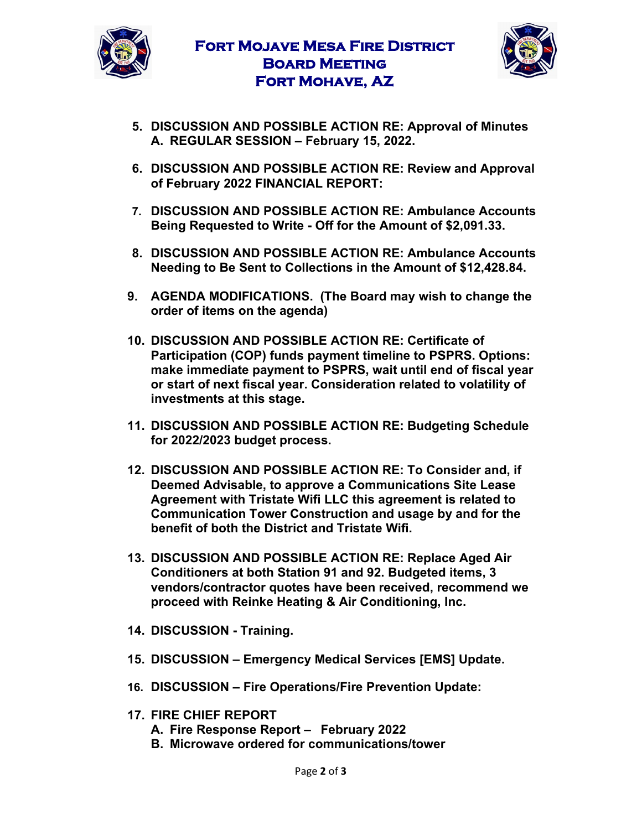



- **5. DISCUSSION AND POSSIBLE ACTION RE: Approval of Minutes A. REGULAR SESSION – February 15, 2022.**
- **6. DISCUSSION AND POSSIBLE ACTION RE: Review and Approval of February 2022 FINANCIAL REPORT:**
- **7. DISCUSSION AND POSSIBLE ACTION RE: Ambulance Accounts Being Requested to Write - Off for the Amount of \$2,091.33.**
- **8. DISCUSSION AND POSSIBLE ACTION RE: Ambulance Accounts Needing to Be Sent to Collections in the Amount of \$12,428.84.**
- **9. AGENDA MODIFICATIONS. (The Board may wish to change the order of items on the agenda)**
- **10. DISCUSSION AND POSSIBLE ACTION RE: Certificate of Participation (COP) funds payment timeline to PSPRS. Options: make immediate payment to PSPRS, wait until end of fiscal year or start of next fiscal year. Consideration related to volatility of investments at this stage.**
- **11. DISCUSSION AND POSSIBLE ACTION RE: Budgeting Schedule for 2022/2023 budget process.**
- **12. DISCUSSION AND POSSIBLE ACTION RE: To Consider and, if Deemed Advisable, to approve a Communications Site Lease Agreement with Tristate Wifi LLC this agreement is related to Communication Tower Construction and usage by and for the benefit of both the District and Tristate Wifi.**
- **13. DISCUSSION AND POSSIBLE ACTION RE: Replace Aged Air Conditioners at both Station 91 and 92. Budgeted items, 3 vendors/contractor quotes have been received, recommend we proceed with Reinke Heating & Air Conditioning, Inc.**
- **14. DISCUSSION - Training.**
- **15. DISCUSSION – Emergency Medical Services [EMS] Update.**
- **16. DISCUSSION – Fire Operations/Fire Prevention Update:**
- **17. FIRE CHIEF REPORT**
	- **A. Fire Response Report – February 2022**
	- **B. Microwave ordered for communications/tower**